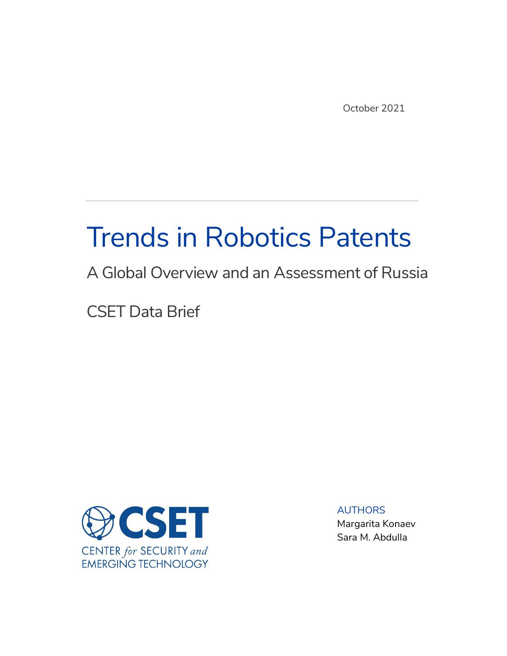October 2021

# Trends in Robotics Patents

## A Global Overview and an Assessment of Russia

CSET Data Brief



AUTHORS Margarita Konaev Sara M. Abdulla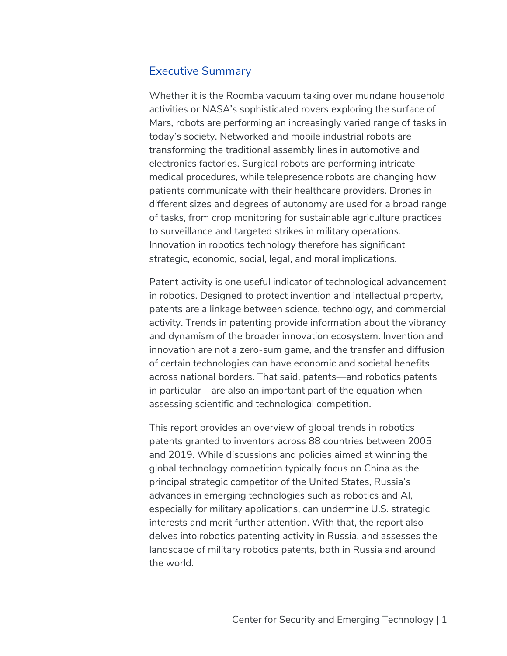#### Executive Summary

Whether it is the Roomba vacuum taking over mundane household activities or NASA's sophisticated rovers exploring the surface of Mars, robots are performing an increasingly varied range of tasks in today's society. Networked and mobile industrial robots are transforming the traditional assembly lines in automotive and electronics factories. Surgical robots are performing intricate medical procedures, while telepresence robots are changing how patients communicate with their healthcare providers. Drones in different sizes and degrees of autonomy are used for a broad range of tasks, from crop monitoring for sustainable agriculture practices to surveillance and targeted strikes in military operations. Innovation in robotics technology therefore has significant strategic, economic, social, legal, and moral implications.

Patent activity is one useful indicator of technological advancement in robotics. Designed to protect invention and intellectual property, patents are a linkage between science, technology, and commercial activity. Trends in patenting provide information about the vibrancy and dynamism of the broader innovation ecosystem. Invention and innovation are not a zero-sum game, and the transfer and diffusion of certain technologies can have economic and societal benefits across national borders. That said, patents—and robotics patents in particular—are also an important part of the equation when assessing scientific and technological competition.

This report provides an overview of global trends in robotics patents granted to inventors across 88 countries between 2005 and 2019. While discussions and policies aimed at winning the global technology competition typically focus on China as the principal strategic competitor of the United States, Russia's advances in emerging technologies such as robotics and AI, especially for military applications, can undermine U.S. strategic interests and merit further attention. With that, the report also delves into robotics patenting activity in Russia, and assesses the landscape of military robotics patents, both in Russia and around the world.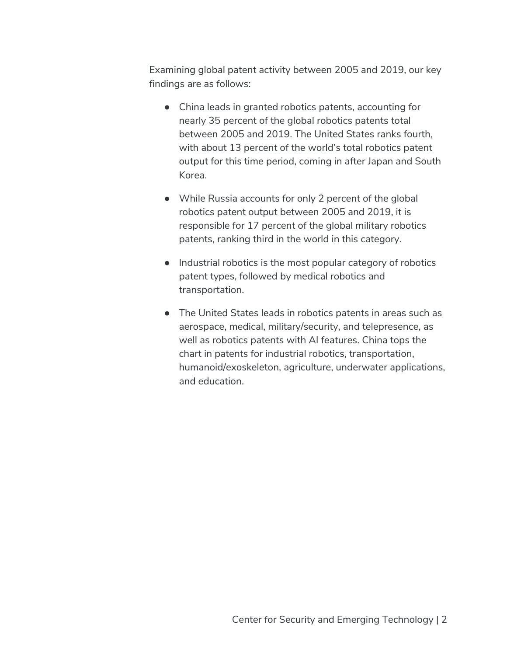Examining global patent activity between 2005 and 2019, our key findings are as follows:

- China leads in granted robotics patents, accounting for nearly 35 percent of the global robotics patents total between 2005 and 2019. The United States ranks fourth, with about 13 percent of the world's total robotics patent output for this time period, coming in after Japan and South Korea.
- While Russia accounts for only 2 percent of the global robotics patent output between 2005 and 2019, it is responsible for 17 percent of the global military robotics patents, ranking third in the world in this category.
- Industrial robotics is the most popular category of robotics patent types, followed by medical robotics and transportation.
- The United States leads in robotics patents in areas such as aerospace, medical, military/security, and telepresence, as well as robotics patents with AI features. China tops the chart in patents for industrial robotics, transportation, humanoid/exoskeleton, agriculture, underwater applications, and education.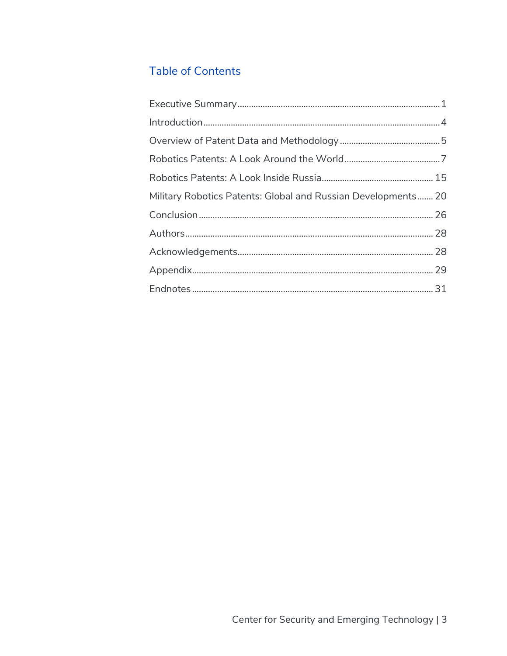## **Table of Contents**

| Military Robotics Patents: Global and Russian Developments 20 |  |
|---------------------------------------------------------------|--|
|                                                               |  |
|                                                               |  |
|                                                               |  |
|                                                               |  |
|                                                               |  |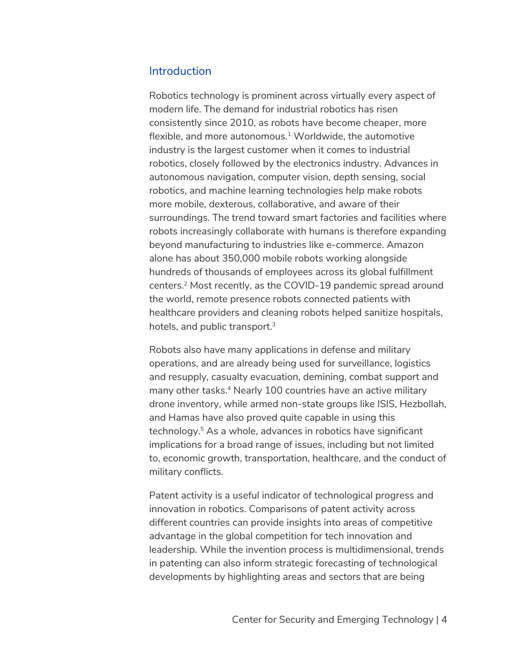#### **Introduction**

Robotics technology is prominent across virtually every aspect of modern life. The demand for industrial robotics has risen consistently since 2010, as robots have become cheaper, more flexible, and more autonomous. $1$  Worldwide, the automotive industry is the largest customer when it comes to industrial robotics, closely followed by the electronics industry. Advances in autonomous navigation, computer vision, depth sensing, social robotics, and machine learning technologies help make robots more mobile, dexterous, collaborative, and aware of their surroundings. The trend toward smart factories and facilities where robots increasingly collaborate with humans is therefore expanding beyond manufacturing to industries like e-commerce. Amazon alone has about 350,000 mobile robots working alongside hundreds of thousands of employees across its global fulfillment centers.2 Most recently, as the COVID-19 pandemic spread around the world, remote presence robots connected patients with healthcare providers and cleaning robots helped sanitize hospitals, hotels, and public transport.<sup>3</sup>

Robots also have many applications in defense and military operations, and are already being used for surveillance, logistics and resupply, casualty evacuation, demining, combat support and many other tasks.<sup>4</sup> Nearly 100 countries have an active military drone inventory, while armed non-state groups like ISIS, Hezbollah, and Hamas have also proved quite capable in using this technology.5 As a whole, advances in robotics have significant implications for a broad range of issues, including but not limited to, economic growth, transportation, healthcare, and the conduct of military conflicts.

Patent activity is a useful indicator of technological progress and innovation in robotics. Comparisons of patent activity across different countries can provide insights into areas of competitive advantage in the global competition for tech innovation and leadership. While the invention process is multidimensional, trends in patenting can also inform strategic forecasting of technological developments by highlighting areas and sectors that are being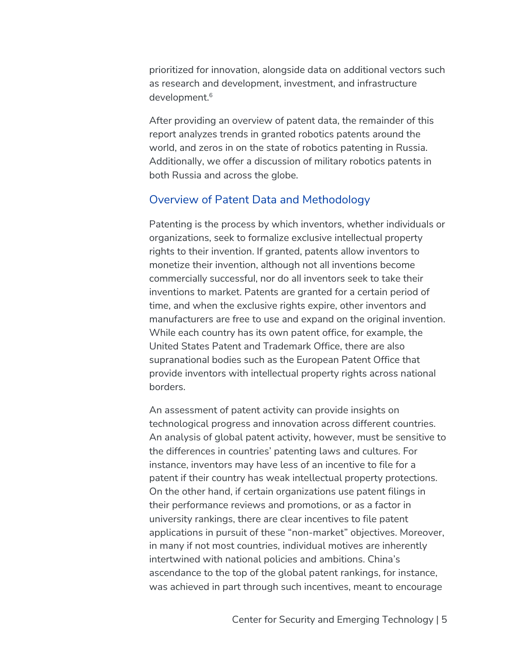prioritized for innovation, alongside data on additional vectors such as research and development, investment, and infrastructure development.<sup>6</sup>

After providing an overview of patent data, the remainder of this report analyzes trends in granted robotics patents around the world, and zeros in on the state of robotics patenting in Russia. Additionally, we offer a discussion of military robotics patents in both Russia and across the globe.

#### Overview of Patent Data and Methodology

Patenting is the process by which inventors, whether individuals or organizations, seek to formalize exclusive intellectual property rights to their invention. If granted, patents allow inventors to monetize their invention, although not all inventions become commercially successful, nor do all inventors seek to take their inventions to market. Patents are granted for a certain period of time, and when the exclusive rights expire, other inventors and manufacturers are free to use and expand on the original invention. While each country has its own patent office, for example, the United States Patent and Trademark Office, there are also supranational bodies such as the European Patent Office that provide inventors with intellectual property rights across national borders.

An assessment of patent activity can provide insights on technological progress and innovation across different countries. An analysis of global patent activity, however, must be sensitive to the differences in countries' patenting laws and cultures. For instance, inventors may have less of an incentive to file for a patent if their country has weak intellectual property protections. On the other hand, if certain organizations use patent filings in their performance reviews and promotions, or as a factor in university rankings, there are clear incentives to file patent applications in pursuit of these "non-market" objectives. Moreover, in many if not most countries, individual motives are inherently intertwined with national policies and ambitions. China's ascendance to the top of the global patent rankings, for instance, was achieved in part through such incentives, meant to encourage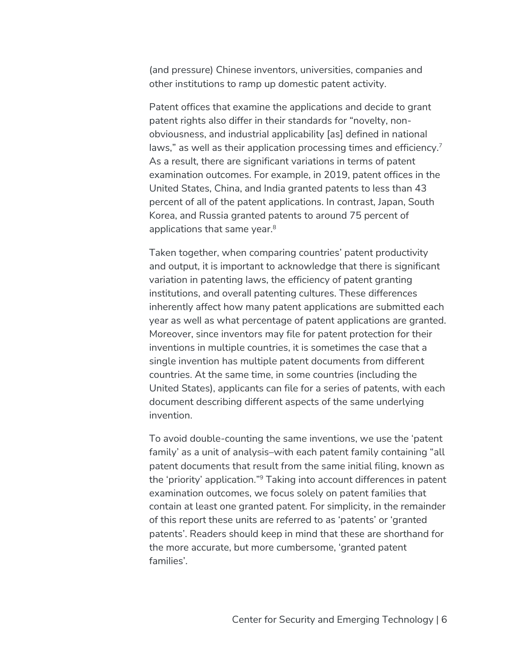(and pressure) Chinese inventors, universities, companies and other institutions to ramp up domestic patent activity.

Patent offices that examine the applications and decide to grant patent rights also differ in their standards for "novelty, nonobviousness, and industrial applicability [as] defined in national laws," as well as their application processing times and efficiency.<sup>7</sup> As a result, there are significant variations in terms of patent examination outcomes. For example, in 2019, patent offices in the United States, China, and India granted patents to less than 43 percent of all of the patent applications. In contrast, Japan, South Korea, and Russia granted patents to around 75 percent of applications that same year. $8<sup>8</sup>$ 

Taken together, when comparing countries' patent productivity and output, it is important to acknowledge that there is significant variation in patenting laws, the efficiency of patent granting institutions, and overall patenting cultures. These differences inherently affect how many patent applications are submitted each year as well as what percentage of patent applications are granted. Moreover, since inventors may file for patent protection for their inventions in multiple countries, it is sometimes the case that a single invention has multiple patent documents from different countries. At the same time, in some countries (including the United States), applicants can file for a series of patents, with each document describing different aspects of the same underlying invention.

To avoid double-counting the same inventions, we use the 'patent family' as a unit of analysis–with each patent family containing "all patent documents that result from the same initial filing, known as the 'priority' application."9 Taking into account differences in patent examination outcomes, we focus solely on patent families that contain at least one granted patent. For simplicity, in the remainder of this report these units are referred to as 'patents' or 'granted patents'. Readers should keep in mind that these are shorthand for the more accurate, but more cumbersome, 'granted patent families'.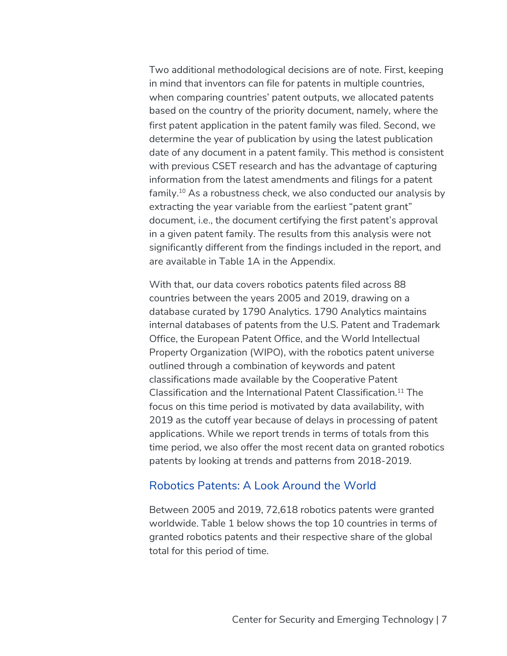Two additional methodological decisions are of note. First, keeping in mind that inventors can file for patents in multiple countries, when comparing countries' patent outputs, we allocated patents based on the country of the priority document, namely, where the first patent application in the patent family was filed. Second, we determine the year of publication by using the latest publication date of any document in a patent family. This method is consistent with previous CSET research and has the advantage of capturing information from the latest amendments and filings for a patent family.10 As a robustness check, we also conducted our analysis by extracting the year variable from the earliest "patent grant" document, i.e., the document certifying the first patent's approval in a given patent family. The results from this analysis were not significantly different from the findings included in the report, and are available in Table 1A in the Appendix.

With that, our data covers robotics patents filed across 88 countries between the years 2005 and 2019, drawing on a database curated by 1790 Analytics. 1790 Analytics maintains internal databases of patents from the U.S. Patent and Trademark Office, the European Patent Office, and the World Intellectual Property Organization (WIPO), with the robotics patent universe outlined through a combination of keywords and patent classifications made available by the Cooperative Patent Classification and the International Patent Classification. <sup>11</sup> The focus on this time period is motivated by data availability, with 2019 as the cutoff year because of delays in processing of patent applications. While we report trends in terms of totals from this time period, we also offer the most recent data on granted robotics patents by looking at trends and patterns from 2018-2019.

#### Robotics Patents: A Look Around the World

Between 2005 and 2019, 72,618 robotics patents were granted worldwide. Table 1 below shows the top 10 countries in terms of granted robotics patents and their respective share of the global total for this period of time.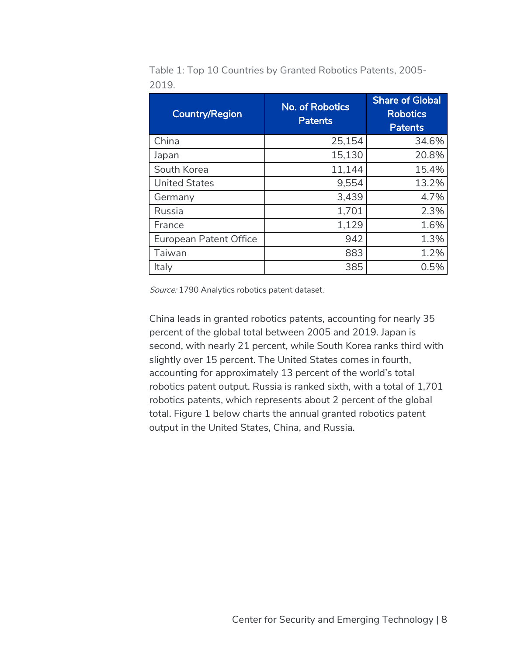| <b>Country/Region</b>         | <b>No. of Robotics</b><br><b>Patents</b> | <b>Share of Global</b><br><b>Robotics</b><br><b>Patents</b> |
|-------------------------------|------------------------------------------|-------------------------------------------------------------|
| China                         | 25,154                                   | 34.6%                                                       |
| Japan                         | 15,130                                   | 20.8%                                                       |
| South Korea                   | 11,144                                   | 15.4%                                                       |
| <b>United States</b>          | 9,554                                    | 13.2%                                                       |
| Germany                       | 3,439                                    | 4.7%                                                        |
| Russia                        | 1,701                                    | 2.3%                                                        |
| France                        | 1,129                                    | 1.6%                                                        |
| <b>European Patent Office</b> | 942                                      | 1.3%                                                        |
| Taiwan                        | 883                                      | 1.2%                                                        |
| Italy                         | 385                                      | 0.5%                                                        |

Table 1: Top 10 Countries by Granted Robotics Patents, 2005- 2019.

Source: 1790 Analytics robotics patent dataset.

China leads in granted robotics patents, accounting for nearly 35 percent of the global total between 2005 and 2019. Japan is second, with nearly 21 percent, while South Korea ranks third with slightly over 15 percent. The United States comes in fourth, accounting for approximately 13 percent of the world's total robotics patent output. Russia is ranked sixth, with a total of 1,701 robotics patents, which represents about 2 percent of the global total. Figure 1 below charts the annual granted robotics patent output in the United States, China, and Russia.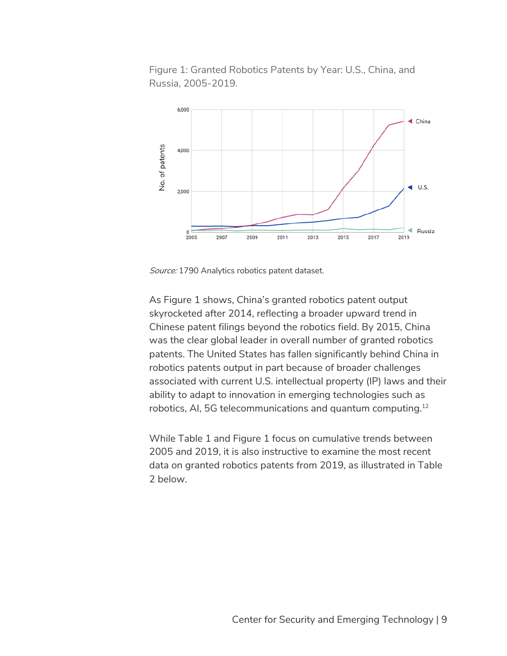Figure 1: Granted Robotics Patents by Year: U.S., China, and Russia, 2005-2019.



Source: 1790 Analytics robotics patent dataset.

As Figure 1 shows, China's granted robotics patent output skyrocketed after 2014, reflecting a broader upward trend in Chinese patent filings beyond the robotics field. By 2015, China was the clear global leader in overall number of granted robotics patents. The United States has fallen significantly behind China in robotics patents output in part because of broader challenges associated with current U.S. intellectual property (IP) laws and their ability to adapt to innovation in emerging technologies such as robotics, AI, 5G telecommunications and quantum computing.12

While Table 1 and Figure 1 focus on cumulative trends between 2005 and 2019, it is also instructive to examine the most recent data on granted robotics patents from 2019, as illustrated in Table 2 below.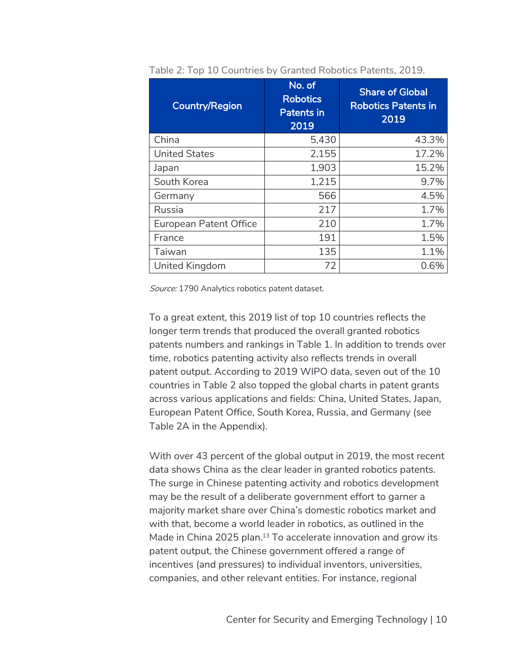| <b>Country/Region</b>         | No. of<br><b>Robotics</b><br><b>Patents in</b><br>2019 | <b>Share of Global</b><br><b>Robotics Patents in</b><br>2019 |
|-------------------------------|--------------------------------------------------------|--------------------------------------------------------------|
| China                         | 5,430                                                  | 43.3%                                                        |
| <b>United States</b>          | 2,155                                                  | 17.2%                                                        |
| Japan                         | 1,903                                                  | 15.2%                                                        |
| South Korea                   | 1,215                                                  | 9.7%                                                         |
| Germany                       | 566                                                    | 4.5%                                                         |
| Russia                        | 217                                                    | 1.7%                                                         |
| <b>European Patent Office</b> | 210                                                    | 1.7%                                                         |
| France                        | 191                                                    | 1.5%                                                         |
| Taiwan                        | 135                                                    | 1.1%                                                         |
| United Kingdom                | 72                                                     | 0.6%                                                         |

Table 2: Top 10 Countries by Granted Robotics Patents, 2019.

Source: 1790 Analytics robotics patent dataset.

To a great extent, this 2019 list of top 10 countries reflects the longer term trends that produced the overall granted robotics patents numbers and rankings in Table 1. In addition to trends over time, robotics patenting activity also reflects trends in overall patent output. According to 2019 WIPO data, seven out of the 10 countries in Table 2 also topped the global charts in patent grants across various applications and fields: China, United States, Japan, European Patent Office, South Korea, Russia, and Germany (see Table 2A in the Appendix).

With over 43 percent of the global output in 2019, the most recent data shows China as the clear leader in granted robotics patents. The surge in Chinese patenting activity and robotics development may be the result of a deliberate government effort to garner a majority market share over China's domestic robotics market and with that, become a world leader in robotics, as outlined in the Made in China 2025 plan.<sup>13</sup> To accelerate innovation and grow its patent output, the Chinese government offered a range of incentives (and pressures) to individual inventors, universities, companies, and other relevant entities. For instance, regional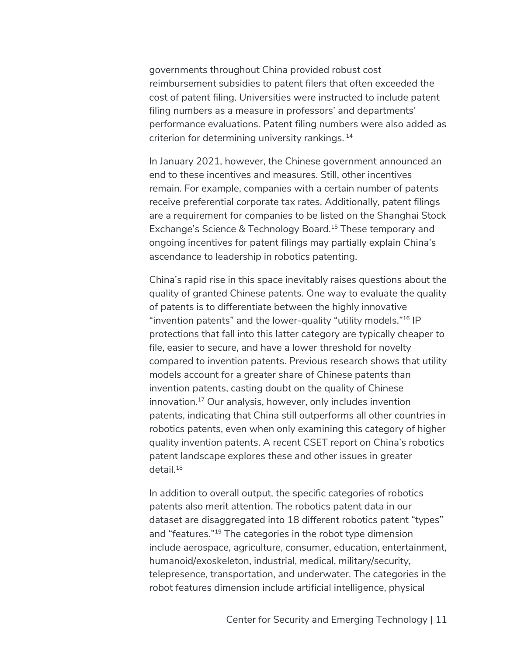governments throughout China provided robust cost reimbursement subsidies to patent filers that often exceeded the cost of patent filing. Universities were instructed to include patent filing numbers as a measure in professors' and departments' performance evaluations. Patent filing numbers were also added as criterion for determining university rankings. <sup>14</sup>

In January 2021, however, the Chinese government announced an end to these incentives and measures. Still, other incentives remain. For example, companies with a certain number of patents receive preferential corporate tax rates. Additionally, patent filings are a requirement for companies to be listed on the Shanghai Stock Exchange's Science & Technology Board.<sup>15</sup> These temporary and ongoing incentives for patent filings may partially explain China's ascendance to leadership in robotics patenting.

China's rapid rise in this space inevitably raises questions about the quality of granted Chinese patents. One way to evaluate the quality of patents is to differentiate between the highly innovative "invention patents" and the lower-quality "utility models."16 IP protections that fall into this latter category are typically cheaper to file, easier to secure, and have a lower threshold for novelty compared to invention patents. Previous research shows that utility models account for a greater share of Chinese patents than invention patents, casting doubt on the quality of Chinese innovation.17 Our analysis, however, only includes invention patents, indicating that China still outperforms all other countries in robotics patents, even when only examining this category of higher quality invention patents. A recent CSET report on China's robotics patent landscape explores these and other issues in greater  $detail.<sup>18</sup>$ 

In addition to overall output, the specific categories of robotics patents also merit attention. The robotics patent data in our dataset are disaggregated into 18 different robotics patent "types" and "features."19 The categories in the robot type dimension include aerospace, agriculture, consumer, education, entertainment, humanoid/exoskeleton, industrial, medical, military/security, telepresence, transportation, and underwater. The categories in the robot features dimension include artificial intelligence, physical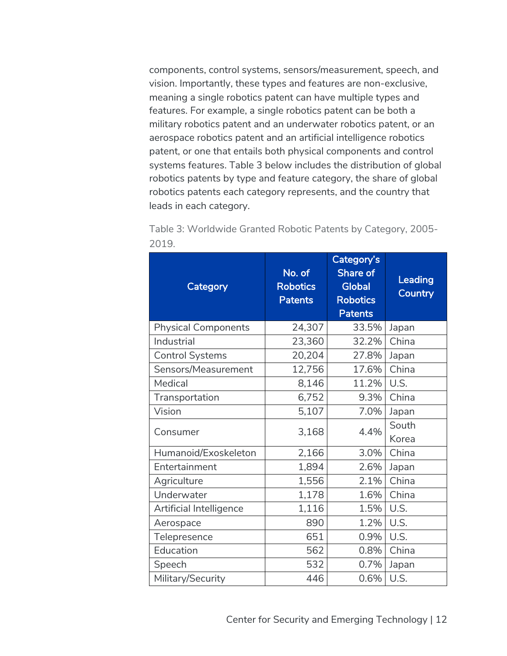components, control systems, sensors/measurement, speech, and vision. Importantly, these types and features are non-exclusive, meaning a single robotics patent can have multiple types and features. For example, a single robotics patent can be both a military robotics patent and an underwater robotics patent, or an aerospace robotics patent and an artificial intelligence robotics patent, or one that entails both physical components and control systems features. Table 3 below includes the distribution of global robotics patents by type and feature category, the share of global robotics patents each category represents, and the country that leads in each category.

| Category                   | No. of<br><b>Robotics</b><br><b>Patents</b> | Category's<br>Share of<br><b>Global</b><br><b>Robotics</b><br><b>Patents</b> | <b>Leading</b><br>Country |
|----------------------------|---------------------------------------------|------------------------------------------------------------------------------|---------------------------|
| <b>Physical Components</b> | 24,307                                      | 33.5%                                                                        | Japan                     |
| Industrial                 | 23,360                                      | 32.2%                                                                        | China                     |
| <b>Control Systems</b>     | 20,204                                      | 27.8%                                                                        | Japan                     |
| Sensors/Measurement        | 12,756                                      | 17.6%                                                                        | China                     |
| Medical                    | 8,146                                       | 11.2%                                                                        | U.S.                      |
| Transportation             | 6,752                                       | 9.3%                                                                         | China                     |
| Vision                     | 5,107                                       | 7.0%                                                                         | Japan                     |
| Consumer                   | 3,168                                       | 4.4%                                                                         | South<br>Korea            |
| Humanoid/Exoskeleton       | 2,166                                       | 3.0%                                                                         | China                     |
| Entertainment              | 1,894                                       | 2.6%                                                                         | Japan                     |
| Agriculture                | 1,556                                       | 2.1%                                                                         | China                     |
| Underwater                 | 1,178                                       | 1.6%                                                                         | China                     |
| Artificial Intelligence    | 1,116                                       | 1.5%                                                                         | U.S.                      |
| Aerospace                  | 890                                         | 1.2%                                                                         | U.S.                      |
| Telepresence               | 651                                         | 0.9%                                                                         | U.S.                      |
| Education                  | 562                                         | 0.8%                                                                         | China                     |
| Speech                     | 532                                         | 0.7%                                                                         | Japan                     |
| Military/Security          | 446                                         | 0.6%                                                                         | U.S.                      |

Table 3: Worldwide Granted Robotic Patents by Category, 2005- 2019.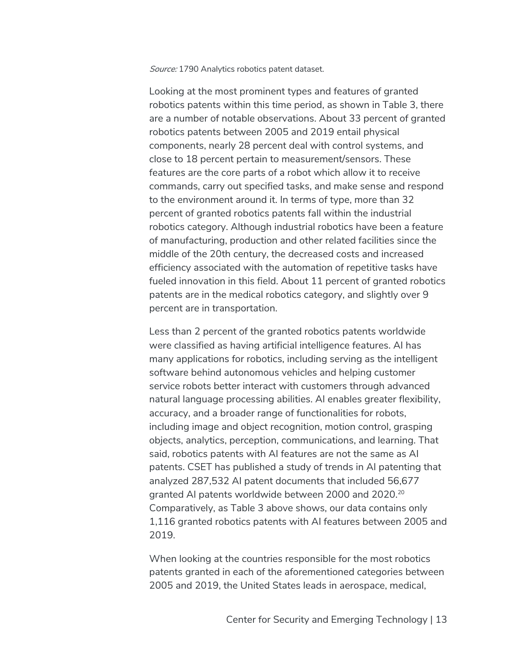Source: 1790 Analytics robotics patent dataset.

Looking at the most prominent types and features of granted robotics patents within this time period, as shown in Table 3, there are a number of notable observations. About 33 percent of granted robotics patents between 2005 and 2019 entail physical components, nearly 28 percent deal with control systems, and close to 18 percent pertain to measurement/sensors. These features are the core parts of a robot which allow it to receive commands, carry out specified tasks, and make sense and respond to the environment around it. In terms of type, more than 32 percent of granted robotics patents fall within the industrial robotics category. Although industrial robotics have been a feature of manufacturing, production and other related facilities since the middle of the 20th century, the decreased costs and increased efficiency associated with the automation of repetitive tasks have fueled innovation in this field. About 11 percent of granted robotics patents are in the medical robotics category, and slightly over 9 percent are in transportation.

Less than 2 percent of the granted robotics patents worldwide were classified as having artificial intelligence features. AI has many applications for robotics, including serving as the intelligent software behind autonomous vehicles and helping customer service robots better interact with customers through advanced natural language processing abilities. AI enables greater flexibility, accuracy, and a broader range of functionalities for robots, including image and object recognition, motion control, grasping objects, analytics, perception, communications, and learning. That said, robotics patents with AI features are not the same as AI patents. CSET has published a study of trends in AI patenting that analyzed 287,532 AI patent documents that included 56,677 granted AI patents worldwide between 2000 and 2020.20 Comparatively, as Table 3 above shows, our data contains only 1,116 granted robotics patents with AI features between 2005 and 2019.

When looking at the countries responsible for the most robotics patents granted in each of the aforementioned categories between 2005 and 2019, the United States leads in aerospace, medical,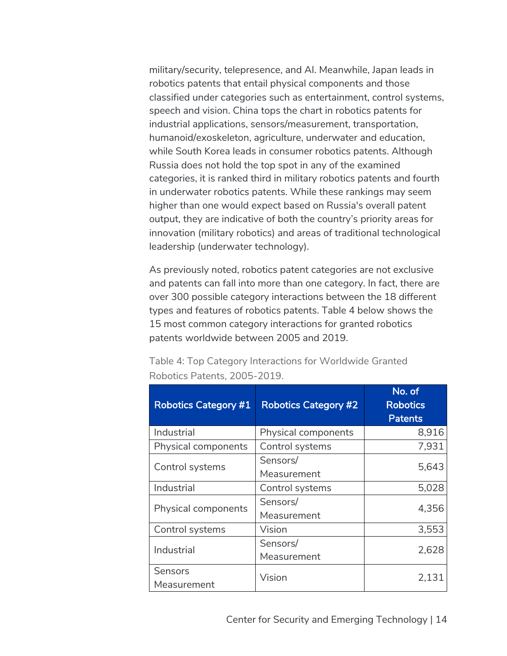military/security, telepresence, and AI. Meanwhile, Japan leads in robotics patents that entail physical components and those classified under categories such as entertainment, control systems, speech and vision. China tops the chart in robotics patents for industrial applications, sensors/measurement, transportation, humanoid/exoskeleton, agriculture, underwater and education, while South Korea leads in consumer robotics patents. Although Russia does not hold the top spot in any of the examined categories, it is ranked third in military robotics patents and fourth in underwater robotics patents. While these rankings may seem higher than one would expect based on Russia's overall patent output, they are indicative of both the country's priority areas for innovation (military robotics) and areas of traditional technological leadership (underwater technology).

As previously noted, robotics patent categories are not exclusive and patents can fall into more than one category. In fact, there are over 300 possible category interactions between the 18 different types and features of robotics patents. Table 4 below shows the 15 most common category interactions for granted robotics patents worldwide between 2005 and 2019.

| <b>Robotics Category #1</b> | <b>Robotics Category #2</b> | No. of<br><b>Robotics</b><br><b>Patents</b> |
|-----------------------------|-----------------------------|---------------------------------------------|
| Industrial                  | Physical components         | 8,916                                       |
| Physical components         | Control systems             | 7,931                                       |
|                             | Sensors/                    | 5,643                                       |
| Control systems             | Measurement                 |                                             |
| Industrial                  | Control systems             | 5,028                                       |
| Physical components         | Sensors/                    | 4,356                                       |
|                             | Measurement                 |                                             |
| Control systems             | Vision                      | 3,553                                       |
| Industrial                  | Sensors/                    | 2,628                                       |
|                             | Measurement                 |                                             |
| Sensors                     | Vision                      | 2,131                                       |
| Measurement                 |                             |                                             |

Table 4: Top Category Interactions for Worldwide Granted Robotics Patents, 2005-2019.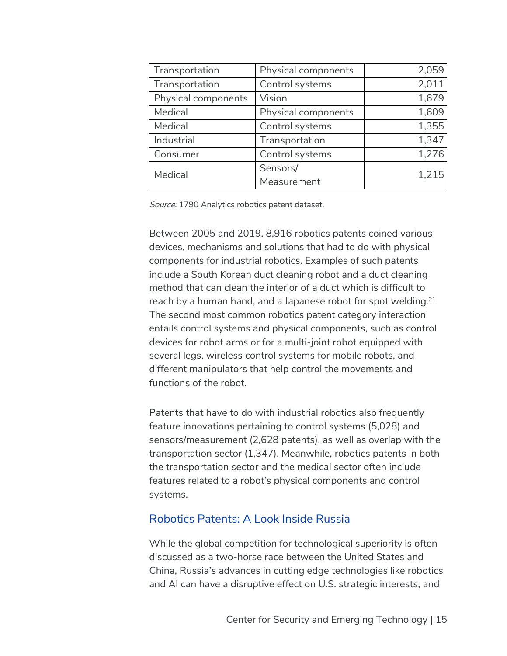| Transportation      | Physical components | 2,059 |
|---------------------|---------------------|-------|
| Transportation      | Control systems     | 2,011 |
| Physical components | Vision              | 1,679 |
| Medical             | Physical components | 1,609 |
| Medical             | Control systems     | 1,355 |
| Industrial          | Transportation      | 1,347 |
| Consumer            | Control systems     | 1,276 |
| Medical             | Sensors/            | 1,215 |
|                     | Measurement         |       |

Source: 1790 Analytics robotics patent dataset.

Between 2005 and 2019, 8,916 robotics patents coined various devices, mechanisms and solutions that had to do with physical components for industrial robotics. Examples of such patents include a South Korean duct cleaning robot and a duct cleaning method that can clean the interior of a duct which is difficult to reach by a human hand, and a Japanese robot for spot welding.<sup>21</sup> The second most common robotics patent category interaction entails control systems and physical components, such as control devices for robot arms or for a multi-joint robot equipped with several legs, wireless control systems for mobile robots, and different manipulators that help control the movements and functions of the robot.

Patents that have to do with industrial robotics also frequently feature innovations pertaining to control systems (5,028) and sensors/measurement (2,628 patents), as well as overlap with the transportation sector (1,347). Meanwhile, robotics patents in both the transportation sector and the medical sector often include features related to a robot's physical components and control systems.

#### Robotics Patents: A Look Inside Russia

While the global competition for technological superiority is often discussed as a two-horse race between the United States and China, Russia's advances in cutting edge technologies like robotics and AI can have a disruptive effect on U.S. strategic interests, and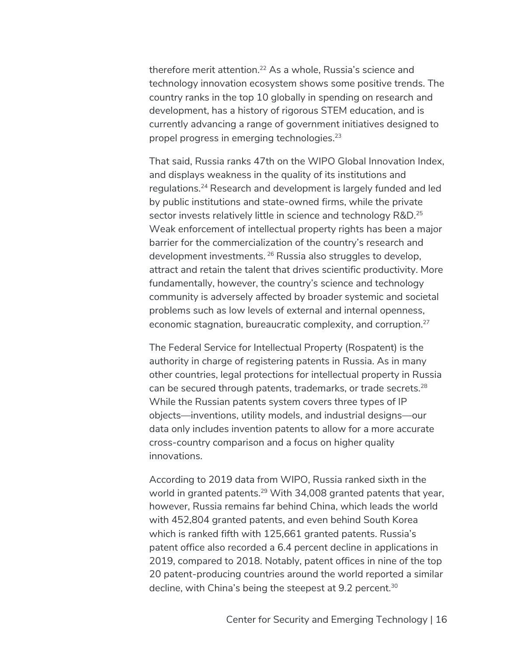therefore merit attention.<sup>22</sup> As a whole, Russia's science and technology innovation ecosystem shows some positive trends. The country ranks in the top 10 globally in spending on research and development, has a history of rigorous STEM education, and is currently advancing a range of government initiatives designed to propel progress in emerging technologies.23

That said, Russia ranks 47th on the WIPO Global Innovation Index, and displays weakness in the quality of its institutions and regulations.24 Research and development is largely funded and led by public institutions and state-owned firms, while the private sector invests relatively little in science and technology R&D.<sup>25</sup> Weak enforcement of intellectual property rights has been a major barrier for the commercialization of the country's research and development investments. <sup>26</sup> Russia also struggles to develop, attract and retain the talent that drives scientific productivity. More fundamentally, however, the country's science and technology community is adversely affected by broader systemic and societal problems such as low levels of external and internal openness, economic stagnation, bureaucratic complexity, and corruption.27

The Federal Service for Intellectual Property (Rospatent) is the authority in charge of registering patents in Russia. As in many other countries, legal protections for intellectual property in Russia can be secured through patents, trademarks, or trade secrets.28 While the Russian patents system covers three types of IP objects—inventions, utility models, and industrial designs—our data only includes invention patents to allow for a more accurate cross-country comparison and a focus on higher quality innovations.

According to 2019 data from WIPO, Russia ranked sixth in the world in granted patents.<sup>29</sup> With 34,008 granted patents that year, however, Russia remains far behind China, which leads the world with 452,804 granted patents, and even behind South Korea which is ranked fifth with 125,661 granted patents. Russia's patent office also recorded a 6.4 percent decline in applications in 2019, compared to 2018. Notably, patent offices in nine of the top 20 patent-producing countries around the world reported a similar decline, with China's being the steepest at 9.2 percent.<sup>30</sup>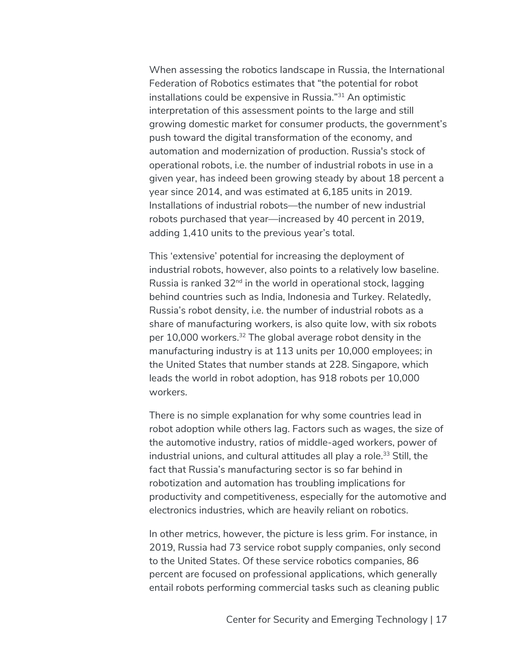When assessing the robotics landscape in Russia, the International Federation of Robotics estimates that "the potential for robot installations could be expensive in Russia."31 An optimistic interpretation of this assessment points to the large and still growing domestic market for consumer products, the government's push toward the digital transformation of the economy, and automation and modernization of production. Russia's stock of operational robots, i.e. the number of industrial robots in use in a given year, has indeed been growing steady by about 18 percent a year since 2014, and was estimated at 6,185 units in 2019. Installations of industrial robots—the number of new industrial robots purchased that year—increased by 40 percent in 2019, adding 1,410 units to the previous year's total.

This 'extensive' potential for increasing the deployment of industrial robots, however, also points to a relatively low baseline. Russia is ranked  $32<sup>nd</sup>$  in the world in operational stock, lagging behind countries such as India, Indonesia and Turkey. Relatedly, Russia's robot density, i.e. the number of industrial robots as a share of manufacturing workers, is also quite low, with six robots per 10,000 workers.<sup>32</sup> The global average robot density in the manufacturing industry is at 113 units per 10,000 employees; in the United States that number stands at 228. Singapore, which leads the world in robot adoption, has 918 robots per 10,000 workers.

There is no simple explanation for why some countries lead in robot adoption while others lag. Factors such as wages, the size of the automotive industry, ratios of middle-aged workers, power of industrial unions, and cultural attitudes all play a role.<sup>33</sup> Still, the fact that Russia's manufacturing sector is so far behind in robotization and automation has troubling implications for productivity and competitiveness, especially for the automotive and electronics industries, which are heavily reliant on robotics.

In other metrics, however, the picture is less grim. For instance, in 2019, Russia had 73 service robot supply companies, only second to the United States. Of these service robotics companies, 86 percent are focused on professional applications, which generally entail robots performing commercial tasks such as cleaning public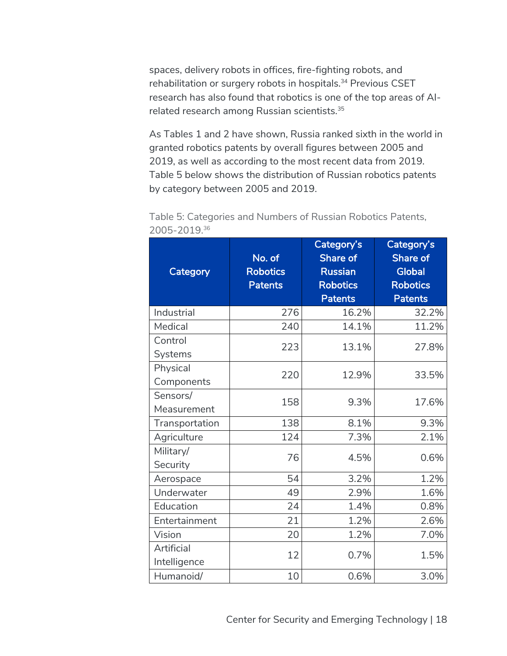spaces, delivery robots in offices, fire-fighting robots, and rehabilitation or surgery robots in hospitals.<sup>34</sup> Previous CSET research has also found that robotics is one of the top areas of AIrelated research among Russian scientists.35

As Tables 1 and 2 have shown, Russia ranked sixth in the world in granted robotics patents by overall figures between 2005 and 2019, as well as according to the most recent data from 2019. Table 5 below shows the distribution of Russian robotics patents by category between 2005 and 2019.

| Category                   | No. of<br><b>Robotics</b><br><b>Patents</b> | Category's<br><b>Share of</b><br><b>Russian</b><br><b>Robotics</b><br><b>Patents</b> | Category's<br>Share of<br><b>Global</b><br><b>Robotics</b><br><b>Patents</b> |  |
|----------------------------|---------------------------------------------|--------------------------------------------------------------------------------------|------------------------------------------------------------------------------|--|
| Industrial                 | 276                                         | 16.2%                                                                                | 32.2%                                                                        |  |
| Medical                    | 240                                         | 14.1%                                                                                | 11.2%                                                                        |  |
| Control                    |                                             |                                                                                      | 27.8%                                                                        |  |
| Systems                    | 223                                         | 13.1%                                                                                |                                                                              |  |
| Physical                   | 220                                         | 12.9%                                                                                |                                                                              |  |
| Components                 |                                             |                                                                                      | 33.5%                                                                        |  |
| Sensors/                   | 158                                         | 9.3%                                                                                 | 17.6%                                                                        |  |
| Measurement                |                                             |                                                                                      |                                                                              |  |
| Transportation             | 138                                         | 8.1%                                                                                 | 9.3%                                                                         |  |
| Agriculture                | 124                                         | 7.3%                                                                                 | 2.1%                                                                         |  |
| Military/<br>Security      | 76                                          | 4.5%                                                                                 | 0.6%                                                                         |  |
| Aerospace                  | 54                                          | 3.2%                                                                                 | 1.2%                                                                         |  |
| Underwater                 | 49                                          | 2.9%                                                                                 | 1.6%                                                                         |  |
| Education                  | 24                                          | 1.4%                                                                                 | 0.8%                                                                         |  |
| Entertainment              | 21                                          | 1.2%                                                                                 | 2.6%                                                                         |  |
| Vision                     | 20                                          | 1.2%                                                                                 | 7.0%                                                                         |  |
| Artificial<br>Intelligence | 12                                          | 0.7%                                                                                 | 1.5%                                                                         |  |
| Humanoid/                  | 10                                          | 0.6%                                                                                 | 3.0%                                                                         |  |

Table 5: Categories and Numbers of Russian Robotics Patents, 2005-2019.36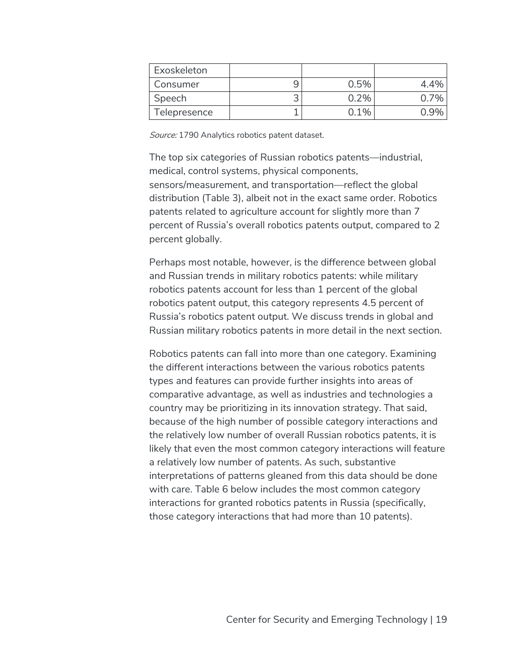| Exoskeleton  |      |  |
|--------------|------|--|
| Consumer     | 0.5% |  |
| Speech       | .7%  |  |
| Telepresence | በ 1% |  |

Source: 1790 Analytics robotics patent dataset.

The top six categories of Russian robotics patents—industrial, medical, control systems, physical components, sensors/measurement, and transportation—reflect the global distribution (Table 3), albeit not in the exact same order. Robotics patents related to agriculture account for slightly more than 7 percent of Russia's overall robotics patents output, compared to 2 percent globally.

Perhaps most notable, however, is the difference between global and Russian trends in military robotics patents: while military robotics patents account for less than 1 percent of the global robotics patent output, this category represents 4.5 percent of Russia's robotics patent output. We discuss trends in global and Russian military robotics patents in more detail in the next section.

Robotics patents can fall into more than one category. Examining the different interactions between the various robotics patents types and features can provide further insights into areas of comparative advantage, as well as industries and technologies a country may be prioritizing in its innovation strategy. That said, because of the high number of possible category interactions and the relatively low number of overall Russian robotics patents, it is likely that even the most common category interactions will feature a relatively low number of patents. As such, substantive interpretations of patterns gleaned from this data should be done with care. Table 6 below includes the most common category interactions for granted robotics patents in Russia (specifically, those category interactions that had more than 10 patents).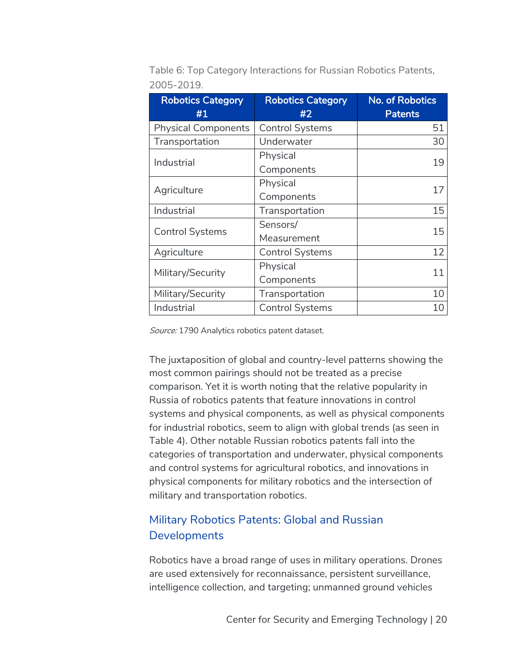| <b>Robotics Category</b>   | <b>Robotics Category</b> | No. of Robotics |
|----------------------------|--------------------------|-----------------|
| #1                         | #2                       | <b>Patents</b>  |
| <b>Physical Components</b> | <b>Control Systems</b>   | 51              |
| Transportation             | Underwater               | 30              |
| Industrial                 | Physical                 | 19              |
|                            | Components               |                 |
| Agriculture                | Physical                 | 17              |
|                            | Components               |                 |
| Industrial                 | Transportation           | 15              |
| <b>Control Systems</b>     | Sensors/                 | 15              |
|                            | Measurement              |                 |
| Agriculture                | <b>Control Systems</b>   | 12              |
| Military/Security          | Physical                 | 11              |
|                            | Components               |                 |
| Military/Security          | Transportation           | 10              |
| Industrial                 | <b>Control Systems</b>   | 10              |

Table 6: Top Category Interactions for Russian Robotics Patents, 2005-2019.

Source: 1790 Analytics robotics patent dataset.

The juxtaposition of global and country-level patterns showing the most common pairings should not be treated as a precise comparison. Yet it is worth noting that the relative popularity in Russia of robotics patents that feature innovations in control systems and physical components, as well as physical components for industrial robotics, seem to align with global trends (as seen in Table 4). Other notable Russian robotics patents fall into the categories of transportation and underwater, physical components and control systems for agricultural robotics, and innovations in physical components for military robotics and the intersection of military and transportation robotics.

## Military Robotics Patents: Global and Russian **Developments**

Robotics have a broad range of uses in military operations. Drones are used extensively for reconnaissance, persistent surveillance, intelligence collection, and targeting; unmanned ground vehicles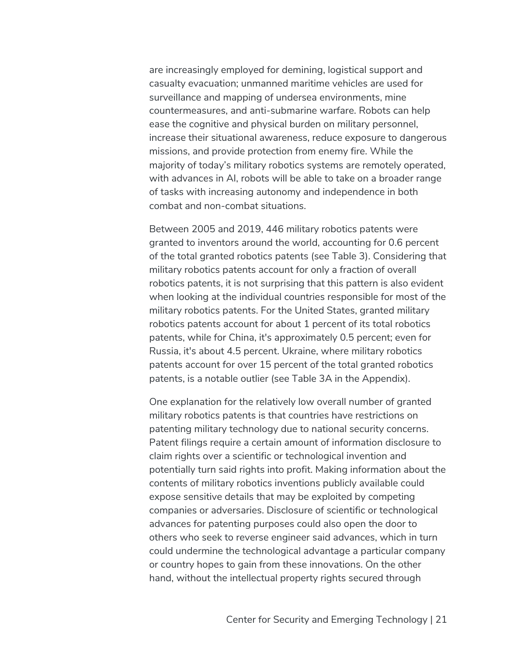are increasingly employed for demining, logistical support and casualty evacuation; unmanned maritime vehicles are used for surveillance and mapping of undersea environments, mine countermeasures, and anti-submarine warfare. Robots can help ease the cognitive and physical burden on military personnel, increase their situational awareness, reduce exposure to dangerous missions, and provide protection from enemy fire. While the majority of today's military robotics systems are remotely operated, with advances in AI, robots will be able to take on a broader range of tasks with increasing autonomy and independence in both combat and non-combat situations.

Between 2005 and 2019, 446 military robotics patents were granted to inventors around the world, accounting for 0.6 percent of the total granted robotics patents (see Table 3). Considering that military robotics patents account for only a fraction of overall robotics patents, it is not surprising that this pattern is also evident when looking at the individual countries responsible for most of the military robotics patents. For the United States, granted military robotics patents account for about 1 percent of its total robotics patents, while for China, it's approximately 0.5 percent; even for Russia, it's about 4.5 percent. Ukraine, where military robotics patents account for over 15 percent of the total granted robotics patents, is a notable outlier (see Table 3A in the Appendix).

One explanation for the relatively low overall number of granted military robotics patents is that countries have restrictions on patenting military technology due to national security concerns. Patent filings require a certain amount of information disclosure to claim rights over a scientific or technological invention and potentially turn said rights into profit. Making information about the contents of military robotics inventions publicly available could expose sensitive details that may be exploited by competing companies or adversaries. Disclosure of scientific or technological advances for patenting purposes could also open the door to others who seek to reverse engineer said advances, which in turn could undermine the technological advantage a particular company or country hopes to gain from these innovations. On the other hand, without the intellectual property rights secured through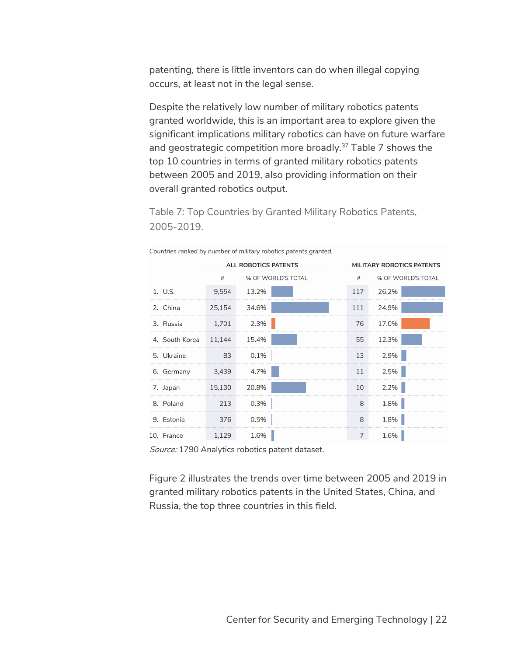patenting, there is little inventors can do when illegal copying occurs, at least not in the legal sense.

Despite the relatively low number of military robotics patents granted worldwide, this is an important area to explore given the significant implications military robotics can have on future warfare and geostrategic competition more broadly.37 Table 7 shows the top 10 countries in terms of granted military robotics patents between 2005 and 2019, also providing information on their overall granted robotics output.

Table 7: Top Countries by Granted Military Robotics Patents, 2005-2019.

|                | <b>ALL ROBOTICS PATENTS</b> |                    |  | <b>MILITARY ROBOTICS PATENTS</b> |       |                    |
|----------------|-----------------------------|--------------------|--|----------------------------------|-------|--------------------|
|                | $\#$                        | % OF WORLD'S TOTAL |  | #                                |       | % OF WORLD'S TOTAL |
| 1. U.S.        | 9,554                       | 13.2%              |  | 117                              | 26.2% |                    |
| 2. China       | 25,154                      | 34.6%              |  | 111                              | 24.9% |                    |
| 3. Russia      | 1,701                       | 2.3%               |  | 76                               | 17.0% |                    |
| 4. South Korea | 11.144                      | 15.4%              |  | 55                               | 12.3% |                    |
| 5. Ukraine     | 83                          | 0.1%               |  | 13                               | 2.9%  |                    |
| 6. Germany     | 3,439                       | 4.7%               |  | 11                               | 2.5%  |                    |
| 7. Japan       | 15,130                      | 20.8%              |  | 10                               | 2.2%  |                    |
| 8. Poland      | 213                         | 0.3%               |  | 8                                | 1.8%  |                    |
| 9. Estonia     | 376                         | 0.5%               |  | 8                                | 1.8%  |                    |
| 10. France     | 1,129                       | 1.6%               |  | 7                                | 1.6%  |                    |

Countries ranked by number of military robotics patents granted.

Source: 1790 Analytics robotics patent dataset.

Figure 2 illustrates the trends over time between 2005 and 2019 in granted military robotics patents in the United States, China, and Russia, the top three countries in this field.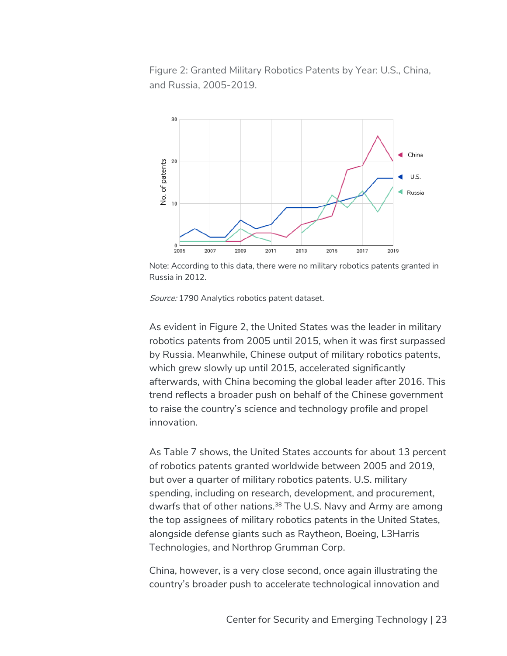Figure 2: Granted Military Robotics Patents by Year: U.S., China, and Russia, 2005-2019.



Note: According to this data, there were no military robotics patents granted in Russia in 2012.

Source: 1790 Analytics robotics patent dataset.

As evident in Figure 2, the United States was the leader in military robotics patents from 2005 until 2015, when it was first surpassed by Russia. Meanwhile, Chinese output of military robotics patents, which grew slowly up until 2015, accelerated significantly afterwards, with China becoming the global leader after 2016. This trend reflects a broader push on behalf of the Chinese government to raise the country's science and technology profile and propel innovation.

As Table 7 shows, the United States accounts for about 13 percent of robotics patents granted worldwide between 2005 and 2019, but over a quarter of military robotics patents. U.S. military spending, including on research, development, and procurement, dwarfs that of other nations.<sup>38</sup> The U.S. Navy and Army are among the top assignees of military robotics patents in the United States, alongside defense giants such as Raytheon, Boeing, L3Harris Technologies, and Northrop Grumman Corp.

China, however, is a very close second, once again illustrating the country's broader push to accelerate technological innovation and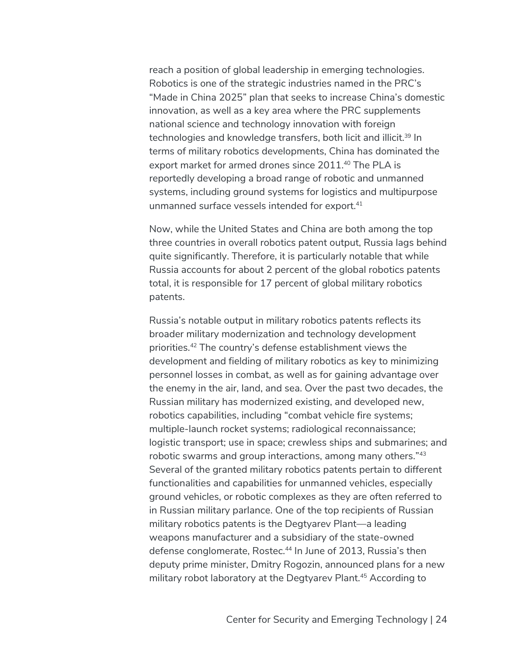reach a position of global leadership in emerging technologies. Robotics is one of the strategic industries named in the PRC's "Made in China 2025" plan that seeks to increase China's domestic innovation, as well as a key area where the PRC supplements national science and technology innovation with foreign technologies and knowledge transfers, both licit and illicit.<sup>39</sup> In terms of military robotics developments, China has dominated the export market for armed drones since 2011.<sup>40</sup> The PLA is reportedly developing a broad range of robotic and unmanned systems, including ground systems for logistics and multipurpose unmanned surface vessels intended for export.41

Now, while the United States and China are both among the top three countries in overall robotics patent output, Russia lags behind quite significantly. Therefore, it is particularly notable that while Russia accounts for about 2 percent of the global robotics patents total, it is responsible for 17 percent of global military robotics patents.

Russia's notable output in military robotics patents reflects its broader military modernization and technology development priorities.42 The country's defense establishment views the development and fielding of military robotics as key to minimizing personnel losses in combat, as well as for gaining advantage over the enemy in the air, land, and sea. Over the past two decades, the Russian military has modernized existing, and developed new, robotics capabilities, including "combat vehicle fire systems; multiple-launch rocket systems; radiological reconnaissance; logistic transport; use in space; crewless ships and submarines; and robotic swarms and group interactions, among many others."43 Several of the granted military robotics patents pertain to different functionalities and capabilities for unmanned vehicles, especially ground vehicles, or robotic complexes as they are often referred to in Russian military parlance. One of the top recipients of Russian military robotics patents is the Degtyarev Plant—a leading weapons manufacturer and a subsidiary of the state-owned defense conglomerate, Rostec.<sup>44</sup> In June of 2013, Russia's then deputy prime minister, Dmitry Rogozin, announced plans for a new military robot laboratory at the Degtyarev Plant.<sup>45</sup> According to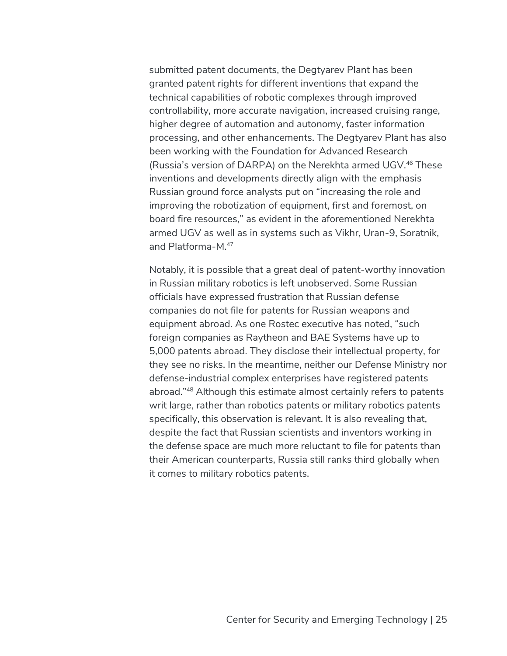submitted patent documents, the Degtyarev Plant has been granted patent rights for different inventions that expand the technical capabilities of robotic complexes through improved controllability, more accurate navigation, increased cruising range, higher degree of automation and autonomy, faster information processing, and other enhancements. The Degtyarev Plant has also been working with the Foundation for Advanced Research (Russia's version of DARPA) on the Nerekhta armed UGV.46 These inventions and developments directly align with the emphasis Russian ground force analysts put on "increasing the role and improving the robotization of equipment, first and foremost, on board fire resources," as evident in the aforementioned Nerekhta armed UGV as well as in systems such as Vikhr, Uran-9, Soratnik, and Platforma-M.47

Notably, it is possible that a great deal of patent-worthy innovation in Russian military robotics is left unobserved. Some Russian officials have expressed frustration that Russian defense companies do not file for patents for Russian weapons and equipment abroad. As one Rostec executive has noted, "such foreign companies as Raytheon and BAE Systems have up to 5,000 patents abroad. They disclose their intellectual property, for they see no risks. In the meantime, neither our Defense Ministry nor defense-industrial complex enterprises have registered patents abroad."48 Although this estimate almost certainly refers to patents writ large, rather than robotics patents or military robotics patents specifically, this observation is relevant. It is also revealing that, despite the fact that Russian scientists and inventors working in the defense space are much more reluctant to file for patents than their American counterparts, Russia still ranks third globally when it comes to military robotics patents.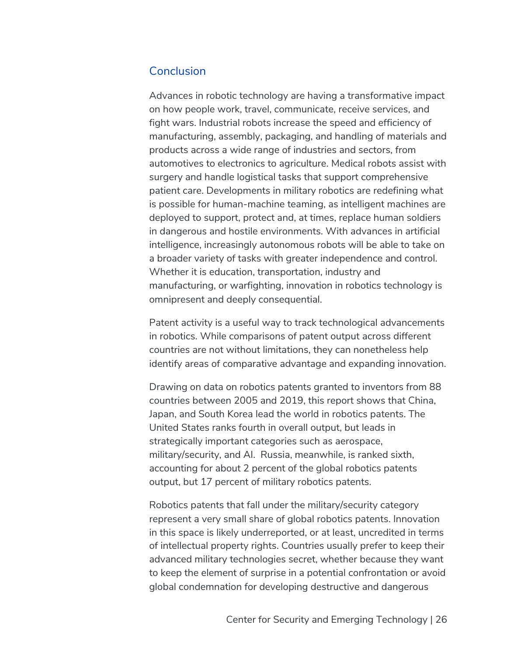#### **Conclusion**

Advances in robotic technology are having a transformative impact on how people work, travel, communicate, receive services, and fight wars. Industrial robots increase the speed and efficiency of manufacturing, assembly, packaging, and handling of materials and products across a wide range of industries and sectors, from automotives to electronics to agriculture. Medical robots assist with surgery and handle logistical tasks that support comprehensive patient care. Developments in military robotics are redefining what is possible for human-machine teaming, as intelligent machines are deployed to support, protect and, at times, replace human soldiers in dangerous and hostile environments. With advances in artificial intelligence, increasingly autonomous robots will be able to take on a broader variety of tasks with greater independence and control. Whether it is education, transportation, industry and manufacturing, or warfighting, innovation in robotics technology is omnipresent and deeply consequential.

Patent activity is a useful way to track technological advancements in robotics. While comparisons of patent output across different countries are not without limitations, they can nonetheless help identify areas of comparative advantage and expanding innovation.

Drawing on data on robotics patents granted to inventors from 88 countries between 2005 and 2019, this report shows that China, Japan, and South Korea lead the world in robotics patents. The United States ranks fourth in overall output, but leads in strategically important categories such as aerospace, military/security, and AI. Russia, meanwhile, is ranked sixth, accounting for about 2 percent of the global robotics patents output, but 17 percent of military robotics patents.

Robotics patents that fall under the military/security category represent a very small share of global robotics patents. Innovation in this space is likely underreported, or at least, uncredited in terms of intellectual property rights. Countries usually prefer to keep their advanced military technologies secret, whether because they want to keep the element of surprise in a potential confrontation or avoid global condemnation for developing destructive and dangerous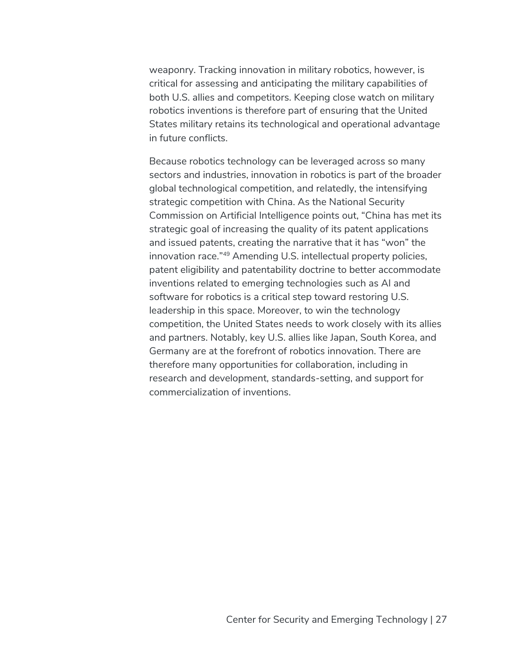weaponry. Tracking innovation in military robotics, however, is critical for assessing and anticipating the military capabilities of both U.S. allies and competitors. Keeping close watch on military robotics inventions is therefore part of ensuring that the United States military retains its technological and operational advantage in future conflicts.

Because robotics technology can be leveraged across so many sectors and industries, innovation in robotics is part of the broader global technological competition, and relatedly, the intensifying strategic competition with China. As the National Security Commission on Artificial Intelligence points out, "China has met its strategic goal of increasing the quality of its patent applications and issued patents, creating the narrative that it has "won" the innovation race."49 Amending U.S. intellectual property policies, patent eligibility and patentability doctrine to better accommodate inventions related to emerging technologies such as AI and software for robotics is a critical step toward restoring U.S. leadership in this space. Moreover, to win the technology competition, the United States needs to work closely with its allies and partners. Notably, key U.S. allies like Japan, South Korea, and Germany are at the forefront of robotics innovation. There are therefore many opportunities for collaboration, including in research and development, standards-setting, and support for commercialization of inventions.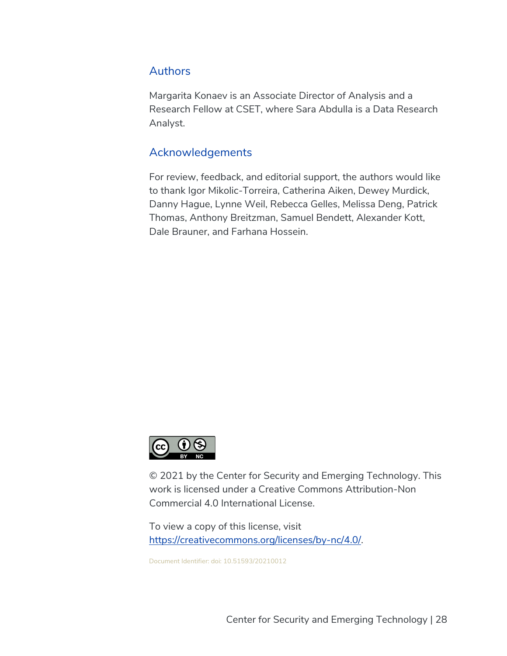#### **Authors**

Margarita Konaev is an Associate Director of Analysis and a Research Fellow at CSET, where Sara Abdulla is a Data Research Analyst.

#### Acknowledgements

For review, feedback, and editorial support, the authors would like to thank Igor Mikolic-Torreira, Catherina Aiken, Dewey Murdick, Danny Hague, Lynne Weil, Rebecca Gelles, Melissa Deng, Patrick Thomas, Anthony Breitzman, Samuel Bendett, Alexander Kott, Dale Brauner, and Farhana Hossein.



© 2021 by the Center for Security and Emerging Technology. This work is licensed under a Creative Commons Attribution-Non Commercial 4.0 International License.

To view a copy of this license, visit https://creativecommons.org/licenses/by-nc/4.0/.

Document Identifier: doi: 10.51593/20210012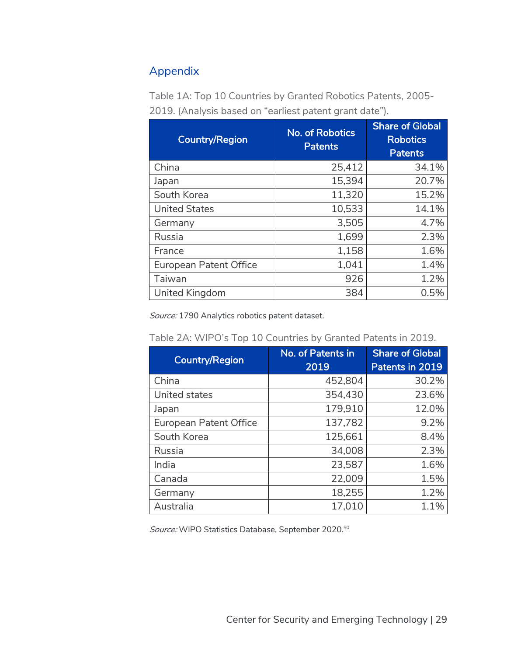## Appendix

| <b>Country/Region</b>         | <b>No. of Robotics</b><br>Patents | <b>Share of Global</b><br><b>Robotics</b><br><b>Patents</b> |
|-------------------------------|-----------------------------------|-------------------------------------------------------------|
| China                         | 25,412                            | 34.1%                                                       |
| Japan                         | 15,394                            | 20.7%                                                       |
| South Korea                   | 11,320                            | 15.2%                                                       |
| <b>United States</b>          | 10,533                            | 14.1%                                                       |
| Germany                       | 3,505                             | 4.7%                                                        |
| Russia                        | 1,699                             | 2.3%                                                        |
| France                        | 1,158                             | 1.6%                                                        |
| <b>European Patent Office</b> | 1,041                             | 1.4%                                                        |
| Taiwan                        | 926                               | 1.2%                                                        |
| United Kingdom                | 384                               | 0.5%                                                        |

Table 1A: Top 10 Countries by Granted Robotics Patents, 2005- 2019. (Analysis based on "earliest patent grant date").

Source: 1790 Analytics robotics patent dataset.

| Country/Region                | No. of Patents in<br>2019 | <b>Share of Global</b><br>Patents in 2019 |
|-------------------------------|---------------------------|-------------------------------------------|
| China                         | 452,804                   | 30.2%                                     |
| United states                 | 354,430                   | 23.6%                                     |
| Japan                         | 179,910                   | 12.0%                                     |
| <b>European Patent Office</b> | 137,782                   | 9.2%                                      |
| South Korea                   | 125,661                   | 8.4%                                      |
| Russia                        | 34,008                    | 2.3%                                      |
| India                         | 23,587                    | 1.6%                                      |
| Canada                        | 22,009                    | 1.5%                                      |
| Germany                       | 18,255                    | 1.2%                                      |
| Australia                     | 17,010                    | 1.1%                                      |

Table 2A: WIPO's Top 10 Countries by Granted Patents in 2019.

Source: WIPO Statistics Database, September 2020.50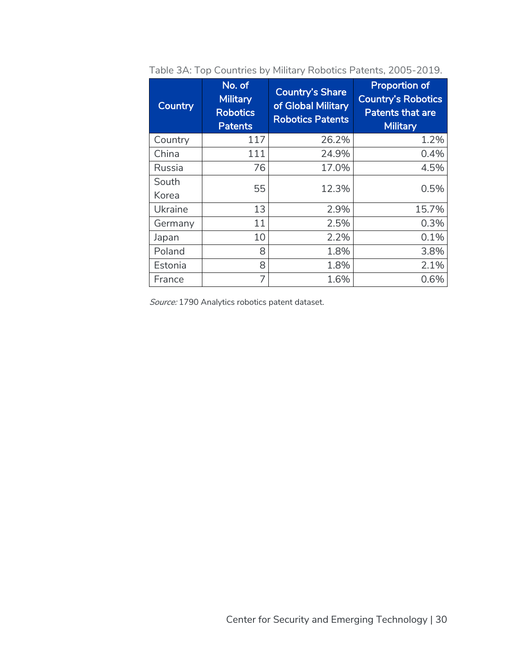| <b>Country</b> | No. of<br><b>Military</b><br><b>Robotics</b><br><b>Patents</b> | <b>Country's Share</b><br>of Global Military<br><b>Robotics Patents</b> | <b>Proportion of</b><br><b>Country's Robotics</b><br><b>Patents that are</b><br><b>Military</b> |
|----------------|----------------------------------------------------------------|-------------------------------------------------------------------------|-------------------------------------------------------------------------------------------------|
| Country        | 117                                                            | 26.2%                                                                   | 1.2%                                                                                            |
| China          | 111                                                            | 24.9%                                                                   | 0.4%                                                                                            |
| Russia         | 76                                                             | 17.0%                                                                   | 4.5%                                                                                            |
| South<br>Korea | 55                                                             | 12.3%                                                                   | 0.5%                                                                                            |
| Ukraine        | 13                                                             | 2.9%                                                                    | 15.7%                                                                                           |
| Germany        | 11                                                             | 2.5%                                                                    | 0.3%                                                                                            |
| Japan          | 10                                                             | 2.2%                                                                    | 0.1%                                                                                            |
| Poland         | 8                                                              | 1.8%                                                                    | 3.8%                                                                                            |
| Estonia        | 8                                                              | 1.8%                                                                    | 2.1%                                                                                            |
| France         | 7                                                              | 1.6%                                                                    | 0.6%                                                                                            |

Table 3A: Top Countries by Military Robotics Patents, 2005-2019.

Source: 1790 Analytics robotics patent dataset.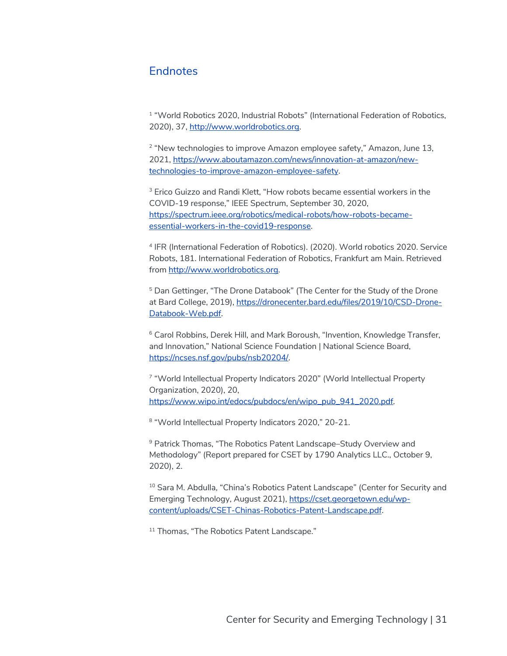#### **Endnotes**

<sup>1</sup> "World Robotics 2020, Industrial Robots" (International Federation of Robotics, 2020), 37, http://www.worldrobotics.org.

<sup>2</sup> "New technologies to improve Amazon employee safety," Amazon, June 13, 2021, https://www.aboutamazon.com/news/innovation-at-amazon/newtechnologies-to-improve-amazon-employee-safety.

<sup>3</sup> Erico Guizzo and Randi Klett, "How robots became essential workers in the COVID-19 response," IEEE Spectrum, September 30, 2020, https://spectrum.ieee.org/robotics/medical-robots/how-robots-becameessential-workers-in-the-covid19-response.

<sup>4</sup> IFR (International Federation of Robotics). (2020). World robotics 2020. Service Robots, 181. International Federation of Robotics, Frankfurt am Main. Retrieved from http://www.worldrobotics.org.

<sup>5</sup> Dan Gettinger, "The Drone Databook" (The Center for the Study of the Drone at Bard College, 2019), https://dronecenter.bard.edu/files/2019/10/CSD-Drone-Databook-Web.pdf.

<sup>6</sup> Carol Robbins, Derek Hill, and Mark Boroush, "Invention, Knowledge Transfer, and Innovation," National Science Foundation | National Science Board, https://ncses.nsf.gov/pubs/nsb20204/.

<sup>7</sup> "World Intellectual Property Indicators 2020" (World Intellectual Property Organization, 2020), 20, https://www.wipo.int/edocs/pubdocs/en/wipo\_pub\_941\_2020.pdf.

8 "World Intellectual Property Indicators 2020," 20-21.

<sup>9</sup> Patrick Thomas, "The Robotics Patent Landscape–Study Overview and Methodology" (Report prepared for CSET by 1790 Analytics LLC., October 9, 2020), 2.

<sup>10</sup> Sara M. Abdulla, "China's Robotics Patent Landscape" (Center for Security and Emerging Technology, August 2021), https://cset.georgetown.edu/wpcontent/uploads/CSET-Chinas-Robotics-Patent-Landscape.pdf.

<sup>11</sup> Thomas, "The Robotics Patent Landscape."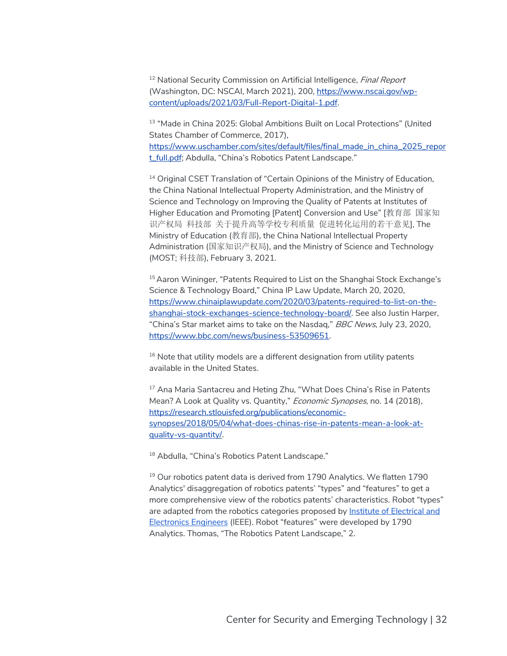<sup>12</sup> National Security Commission on Artificial Intelligence, *Final Report* (Washington, DC: NSCAI, March 2021), 200, https://www.nscai.gov/wpcontent/uploads/2021/03/Full-Report-Digital-1.pdf.

<sup>13</sup> "Made in China 2025: Global Ambitions Built on Local Protections" (United States Chamber of Commerce, 2017), https://www.uschamber.com/sites/default/files/final\_made\_in\_china\_2025\_repor t\_full.pdf; Abdulla, "China's Robotics Patent Landscape."

<sup>14</sup> Original CSET Translation of "Certain Opinions of the Ministry of Education, the China National Intellectual Property Administration, and the Ministry of Science and Technology on Improving the Quality of Patents at Institutes of Higher Education and Promoting [Patent] Conversion and Use" [教育部 国家知 识产权局 科技部 关于提升高等学校专利质量 促进转化运用的若干意见], The Ministry of Education (教育部), the China National Intellectual Property Administration (国家知识产权局), and the Ministry of Science and Technology (MOST; 科技部), February 3, 2021.

<sup>15</sup> Aaron Wininger, "Patents Required to List on the Shanghai Stock Exchange's Science & Technology Board," China IP Law Update, March 20, 2020, https://www.chinaiplawupdate.com/2020/03/patents-required-to-list-on-theshanghai-stock-exchanges-science-technology-board/. See also Justin Harper, "China's Star market aims to take on the Nasdaq," BBC News, July 23, 2020, https://www.bbc.com/news/business-53509651.

<sup>16</sup> Note that utility models are a different designation from utility patents available in the United States.

<sup>17</sup> Ana Maria Santacreu and Heting Zhu, "What Does China's Rise in Patents Mean? A Look at Quality vs. Quantity," Economic Synopses, no. 14 (2018), https://research.stlouisfed.org/publications/economicsynopses/2018/05/04/what-does-chinas-rise-in-patents-mean-a-look-atquality-vs-quantity/.

18 Abdulla, "China's Robotics Patent Landscape."

 $19$  Our robotics patent data is derived from 1790 Analytics. We flatten 1790 Analytics' disaggregation of robotics patents' "types" and "features" to get a more comprehensive view of the robotics patents' characteristics. Robot "types" are adapted from the robotics categories proposed by Institute of Electrical and Electronics Engineers (IEEE). Robot "features" were developed by 1790 Analytics. Thomas, "The Robotics Patent Landscape," 2.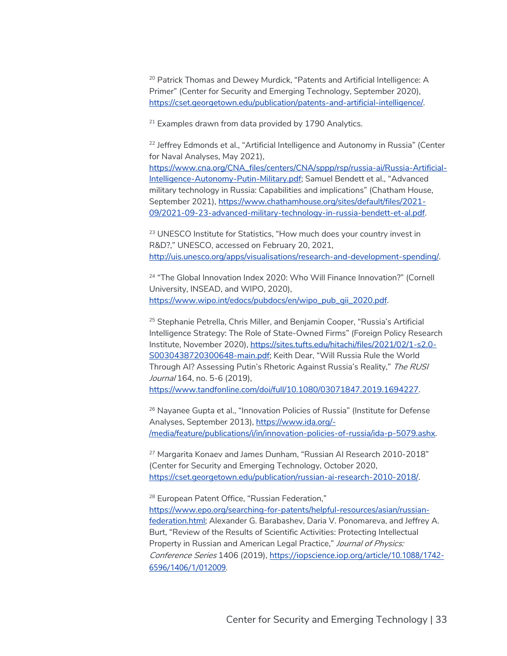<sup>20</sup> Patrick Thomas and Dewey Murdick, "Patents and Artificial Intelligence: A Primer" (Center for Security and Emerging Technology, September 2020), https://cset.georgetown.edu/publication/patents-and-artificial-intelligence/.

 $21$  Examples drawn from data provided by 1790 Analytics.

<sup>22</sup> Jeffrey Edmonds et al., "Artificial Intelligence and Autonomy in Russia" (Center for Naval Analyses, May 2021),

https://www.cna.org/CNA\_files/centers/CNA/sppp/rsp/russia-ai/Russia-Artificial-Intelligence-Autonomy-Putin-Military.pdf; Samuel Bendett et al., "Advanced military technology in Russia: Capabilities and implications" (Chatham House, September 2021), https://www.chathamhouse.org/sites/default/files/2021-09/2021-09-23-advanced-military-technology-in-russia-bendett-et-al.pdf.

<sup>23</sup> UNESCO Institute for Statistics, "How much does your country invest in R&D?," UNESCO, accessed on February 20, 2021, http://uis.unesco.org/apps/visualisations/research-and-development-spending/.

<sup>24</sup> "The Global Innovation Index 2020: Who Will Finance Innovation?" (Cornell University, INSEAD, and WIPO, 2020), https://www.wipo.int/edocs/pubdocs/en/wipo\_pub\_gii\_2020.pdf.

<sup>25</sup> Stephanie Petrella, Chris Miller, and Benjamin Cooper, "Russia's Artificial Intelligence Strategy: The Role of State-Owned Firms" (Foreign Policy Research Institute, November 2020), https://sites.tufts.edu/hitachi/files/2021/02/1-s2.0- S0030438720300648-main.pdf; Keith Dear, "Will Russia Rule the World Through AI? Assessing Putin's Rhetoric Against Russia's Reality," The RUSI Journal 164, no. 5-6 (2019), https://www.tandfonline.com/doi/full/10.1080/03071847.2019.1694227.

<sup>26</sup> Nayanee Gupta et al., "Innovation Policies of Russia" (Institute for Defense Analyses, September 2013), https://www.ida.org/- /media/feature/publications/i/in/innovation-policies-of-russia/ida-p-5079.ashx.

<sup>27</sup> Margarita Konaev and James Dunham, "Russian AI Research 2010-2018" (Center for Security and Emerging Technology, October 2020, https://cset.georgetown.edu/publication/russian-ai-research-2010-2018/.

<sup>28</sup> European Patent Office, "Russian Federation," https://www.epo.org/searching-for-patents/helpful-resources/asian/russianfederation.html; Alexander G. Barabashev, Daria V. Ponomareva, and Jeffrey A. Burt, "Review of the Results of Scientific Activities: Protecting Intellectual Property in Russian and American Legal Practice," Journal of Physics: Conference Series 1406 (2019), https://iopscience.iop.org/article/10.1088/1742- 6596/1406/1/012009.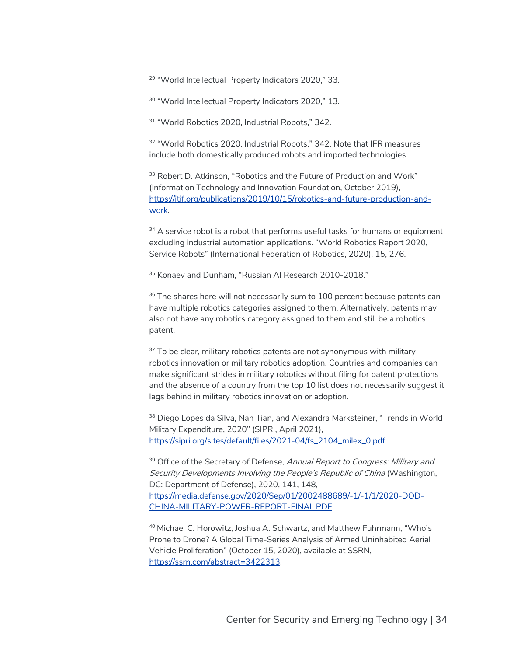<sup>29</sup> "World Intellectual Property Indicators 2020," 33.

<sup>30</sup> "World Intellectual Property Indicators 2020," 13.

<sup>31</sup> "World Robotics 2020, Industrial Robots," 342.

<sup>32</sup> "World Robotics 2020, Industrial Robots," 342, Note that IFR measures include both domestically produced robots and imported technologies.

<sup>33</sup> Robert D. Atkinson, "Robotics and the Future of Production and Work" (Information Technology and Innovation Foundation, October 2019), https://itif.org/publications/2019/10/15/robotics-and-future-production-andwork.

 $34$  A service robot is a robot that performs useful tasks for humans or equipment excluding industrial automation applications. "World Robotics Report 2020, Service Robots" (International Federation of Robotics, 2020), 15, 276.

<sup>35</sup> Konaev and Dunham, "Russian Al Research 2010-2018."

<sup>36</sup> The shares here will not necessarily sum to 100 percent because patents can have multiple robotics categories assigned to them. Alternatively, patents may also not have any robotics category assigned to them and still be a robotics patent.

 $37$  To be clear, military robotics patents are not synonymous with military robotics innovation or military robotics adoption. Countries and companies can make significant strides in military robotics without filing for patent protections and the absence of a country from the top 10 list does not necessarily suggest it lags behind in military robotics innovation or adoption.

<sup>38</sup> Diego Lopes da Silva, Nan Tian, and Alexandra Marksteiner, "Trends in World Military Expenditure, 2020" (SIPRI, April 2021), https://sipri.org/sites/default/files/2021-04/fs\_2104\_milex\_0.pdf

<sup>39</sup> Office of the Secretary of Defense, Annual Report to Congress: Military and Security Developments Involving the People's Republic of China (Washington, DC: Department of Defense), 2020, 141, 148, https://media.defense.gov/2020/Sep/01/2002488689/-1/-1/1/2020-DOD-CHINA-MILITARY-POWER-REPORT-FINAL.PDF.

<sup>40</sup> Michael C. Horowitz, Joshua A. Schwartz, and Matthew Fuhrmann, "Who's Prone to Drone? A Global Time-Series Analysis of Armed Uninhabited Aerial Vehicle Proliferation" (October 15, 2020), available at SSRN, https://ssrn.com/abstract=3422313.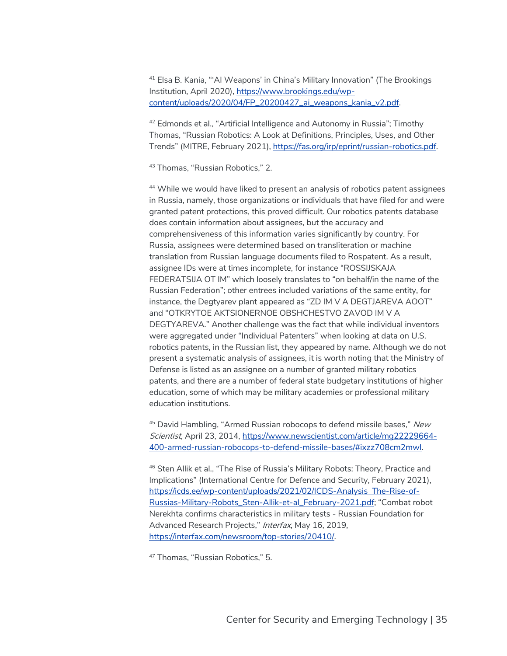<sup>41</sup> Elsa B. Kania, "'AI Weapons' in China's Military Innovation" (The Brookings Institution, April 2020), https://www.brookings.edu/wpcontent/uploads/2020/04/FP\_20200427\_ai\_weapons\_kania\_v2.pdf.

<sup>42</sup> Edmonds et al., "Artificial Intelligence and Autonomy in Russia"; Timothy Thomas, "Russian Robotics: A Look at Definitions, Principles, Uses, and Other Trends" (MITRE, February 2021), https://fas.org/irp/eprint/russian-robotics.pdf.

<sup>43</sup> Thomas, "Russian Robotics," 2.

<sup>44</sup> While we would have liked to present an analysis of robotics patent assignees in Russia, namely, those organizations or individuals that have filed for and were granted patent protections, this proved difficult. Our robotics patents database does contain information about assignees, but the accuracy and comprehensiveness of this information varies significantly by country. For Russia, assignees were determined based on transliteration or machine translation from Russian language documents filed to Rospatent. As a result, assignee IDs were at times incomplete, for instance "ROSSIJSKAJA FEDERATSIJA OT IM" which loosely translates to "on behalf/in the name of the Russian Federation"; other entrees included variations of the same entity, for instance, the Degtyarev plant appeared as "ZD IM V A DEGTJAREVA AOOT" and "OTKRYTOE AKTSIONERNOE OBSHCHESTVO ZAVOD IM V A DEGTYAREVA." Another challenge was the fact that while individual inventors were aggregated under "Individual Patenters" when looking at data on U.S. robotics patents, in the Russian list, they appeared by name. Although we do not present a systematic analysis of assignees, it is worth noting that the Ministry of Defense is listed as an assignee on a number of granted military robotics patents, and there are a number of federal state budgetary institutions of higher education, some of which may be military academies or professional military education institutions.

 $45$  David Hambling, "Armed Russian robocops to defend missile bases," New Scientist, April 23, 2014, https://www.newscientist.com/article/mg22229664- 400-armed-russian-robocops-to-defend-missile-bases/#ixzz708cm2mwl.

<sup>46</sup> Sten Allik et al., "The Rise of Russia's Military Robots: Theory, Practice and Implications" (International Centre for Defence and Security, February 2021), https://icds.ee/wp-content/uploads/2021/02/ICDS-Analysis\_The-Rise-of-Russias-Military-Robots\_Sten-Allik-et-al\_February-2021.pdf; "Combat robot Nerekhta confirms characteristics in military tests - Russian Foundation for Advanced Research Projects," Interfax, May 16, 2019, https://interfax.com/newsroom/top-stories/20410/.

<sup>47</sup> Thomas, "Russian Robotics," 5.